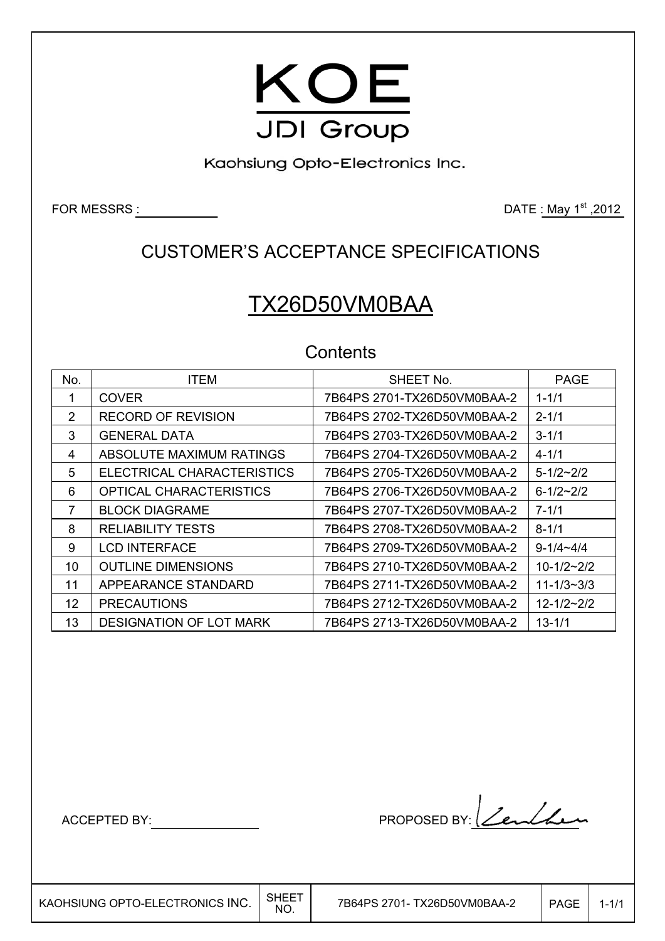

Kaohsiung Opto-Electronics Inc.

FOR MESSRS  $\frac{1}{2}$  . The set of the set of the set of the set of the DATE  $\frac{1}{2}$  May 1<sup>st</sup> ,2012

# CUSTOMER'S ACCEPTANCE SPECIFICATIONS

# TX26D50VM0BAA

## **Contents**

| No.               | <b>ITEM</b>                    | SHEET No.                   | <b>PAGE</b>      |
|-------------------|--------------------------------|-----------------------------|------------------|
|                   | <b>COVER</b>                   | 7B64PS 2701-TX26D50VM0BAA-2 | $1 - 1/1$        |
| $\overline{2}$    | <b>RECORD OF REVISION</b>      |                             | $2 - 1/1$        |
| 3                 | <b>GENERAL DATA</b>            |                             | $3 - 1/1$        |
| 4                 | ABSOLUTE MAXIMUM RATINGS       |                             | $4 - 1/1$        |
| 5                 | ELECTRICAL CHARACTERISTICS     |                             | $5 - 1/2 - 2/2$  |
| 6                 | OPTICAL CHARACTERISTICS        | 7B64PS 2706-TX26D50VM0BAA-2 | $6 - 1/2 - 2/2$  |
| 7                 | <b>BLOCK DIAGRAME</b>          |                             | $7 - 1/1$        |
| 8                 | <b>RELIABILITY TESTS</b>       |                             | $8 - 1/1$        |
| 9                 | <b>LCD INTERFACE</b>           | 7B64PS 2709-TX26D50VM0BAA-2 | $9 - 1/4 - 4/4$  |
| 10                | <b>OUTLINE DIMENSIONS</b>      |                             | $10-1/2-2/2$     |
| 11                | APPEARANCE STANDARD            |                             | $11 - 1/3 - 3/3$ |
| $12 \overline{ }$ | <b>PRECAUTIONS</b>             | 7B64PS 2712-TX26D50VM0BAA-2 | $12 - 1/2 - 2/2$ |
| 13                | <b>DESIGNATION OF LOT MARK</b> |                             | $13 - 1/1$       |

 $\overline{\phantom{a}}$ 

ACCEPTED BY: MODEL BY: PROPOSED BY: <u>Lendhe</u>n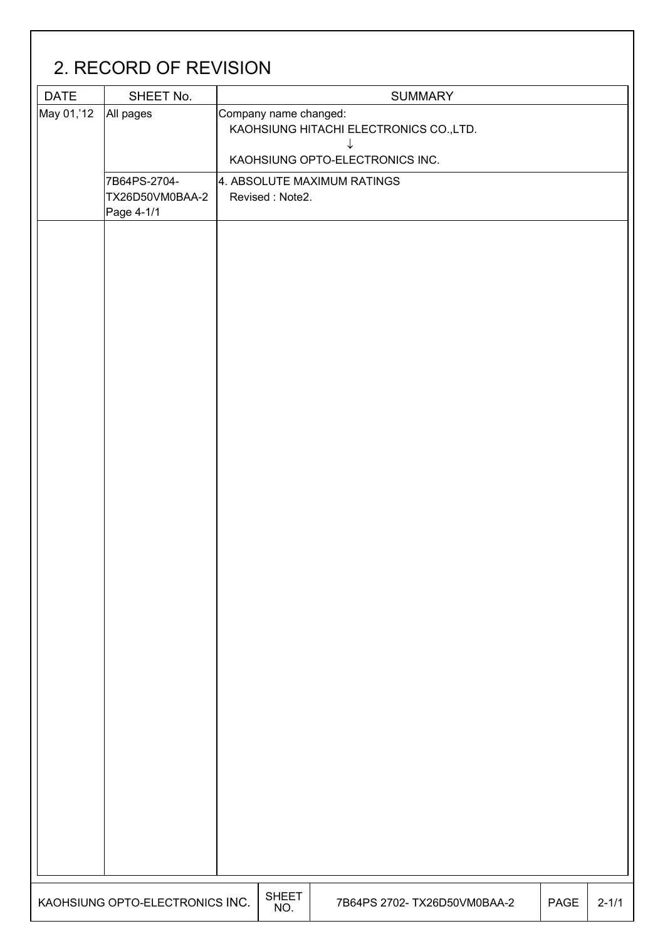| <b>DATE</b> | SHEET No.                                     |                       | <b>SUMMARY</b>                                                                  |  |
|-------------|-----------------------------------------------|-----------------------|---------------------------------------------------------------------------------|--|
| May 01,'12  | All pages                                     | Company name changed: | KAOHSIUNG HITACHI ELECTRONICS CO., LTD.<br>↓<br>KAOHSIUNG OPTO-ELECTRONICS INC. |  |
|             | 7B64PS-2704-<br>TX26D50VM0BAA-2<br>Page 4-1/1 | Revised: Note2.       | 4. ABSOLUTE MAXIMUM RATINGS                                                     |  |
|             |                                               |                       |                                                                                 |  |
|             |                                               |                       |                                                                                 |  |
|             |                                               |                       |                                                                                 |  |
|             |                                               |                       |                                                                                 |  |
|             |                                               |                       |                                                                                 |  |
|             |                                               |                       |                                                                                 |  |
|             |                                               |                       |                                                                                 |  |
|             |                                               |                       |                                                                                 |  |
|             |                                               |                       |                                                                                 |  |
|             |                                               |                       |                                                                                 |  |
|             |                                               |                       |                                                                                 |  |
|             |                                               |                       |                                                                                 |  |
|             |                                               |                       |                                                                                 |  |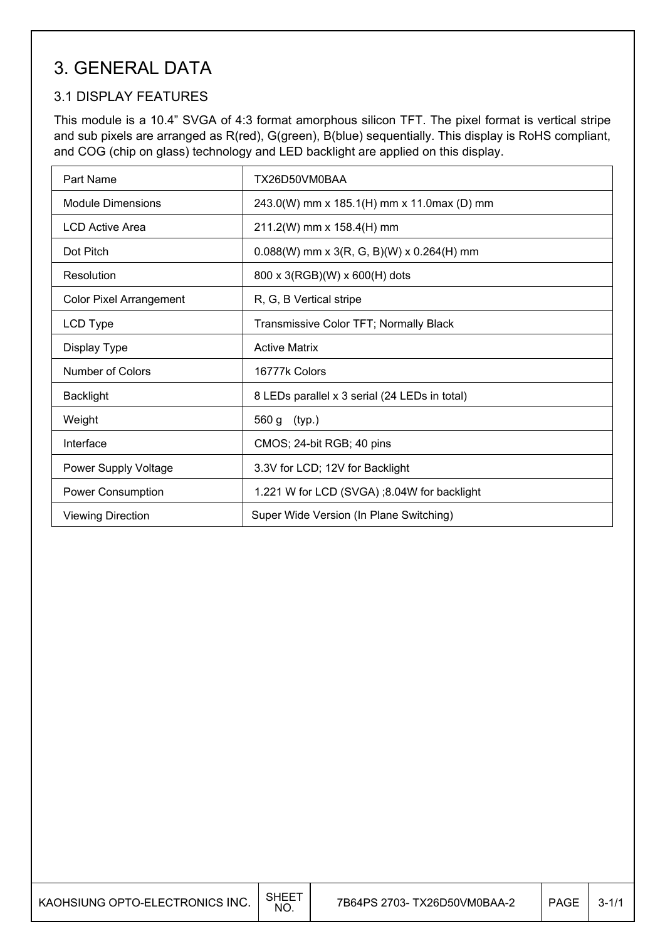# 3. GENERAL DATA

## 3.1 DISPLAY FEATURES

This module is a 10.4" SVGA of 4:3 format amorphous silicon TFT. The pixel format is vertical stripe and sub pixels are arranged as R(red), G(green), B(blue) sequentially. This display is RoHS compliant, and COG (chip on glass) technology and LED backlight are applied on this display.

| Part Name                      | TX26D50VM0BAA                                 |
|--------------------------------|-----------------------------------------------|
| <b>Module Dimensions</b>       | 243.0(W) mm x 185.1(H) mm x 11.0max (D) mm    |
| <b>LCD Active Area</b>         | 211.2(W) mm x 158.4(H) mm                     |
| Dot Pitch                      | $0.088(W)$ mm x 3(R, G, B)(W) x 0.264(H) mm   |
| Resolution                     | 800 x 3(RGB)(W) x 600(H) dots                 |
| <b>Color Pixel Arrangement</b> | R, G, B Vertical stripe                       |
| LCD Type                       | Transmissive Color TFT; Normally Black        |
| Display Type                   | <b>Active Matrix</b>                          |
| Number of Colors               | 16777k Colors                                 |
| <b>Backlight</b>               | 8 LEDs parallel x 3 serial (24 LEDs in total) |
| Weight                         | 560 g (typ.)                                  |
| Interface                      | CMOS; 24-bit RGB; 40 pins                     |
| <b>Power Supply Voltage</b>    | 3.3V for LCD; 12V for Backlight               |
| <b>Power Consumption</b>       | 1.221 W for LCD (SVGA); 8.04W for backlight   |
| <b>Viewing Direction</b>       | Super Wide Version (In Plane Switching)       |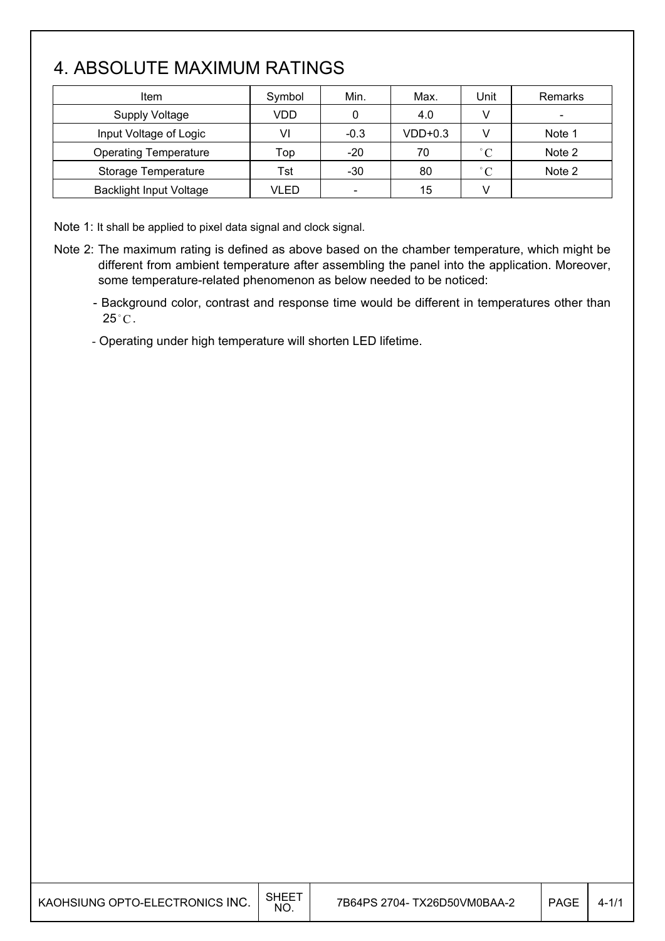# 4. ABSOLUTE MAXIMUM RATINGS

| <b>Item</b>                    | Symbol | Min.                     | Max.      | Unit         | Remarks                  |
|--------------------------------|--------|--------------------------|-----------|--------------|--------------------------|
| <b>Supply Voltage</b>          | VDD    |                          | 4.0       | v            | $\overline{\phantom{a}}$ |
| Input Voltage of Logic         | VI     | $-0.3$                   | $VDD+0.3$ |              | Note 1                   |
| <b>Operating Temperature</b>   | Top    | $-20$                    | 70        | $^{\circ}$ C | Note 2                   |
| Storage Temperature            | Tst    | $-30$                    | 80        | $^{\circ}$ C | Note 2                   |
| <b>Backlight Input Voltage</b> | VLED   | $\overline{\phantom{a}}$ | 15        |              |                          |

Note 1: It shall be applied to pixel data signal and clock signal.

- Note 2: The maximum rating is defined as above based on the chamber temperature, which might be different from ambient temperature after assembling the panel into the application. Moreover, some temperature-related phenomenon as below needed to be noticed:
	- Background color, contrast and response time would be different in temperatures other than  $25^{\circ}$ C.
	- Operating under high temperature will shorten LED lifetime.

| KAOHSIUNG OPTO-ELECTRONICS INC. | SHEET<br><b>NO</b> | 7B64PS 2704- TX26D50VM0BAA-2 | <b>PAGE</b> |  |
|---------------------------------|--------------------|------------------------------|-------------|--|
|                                 |                    |                              |             |  |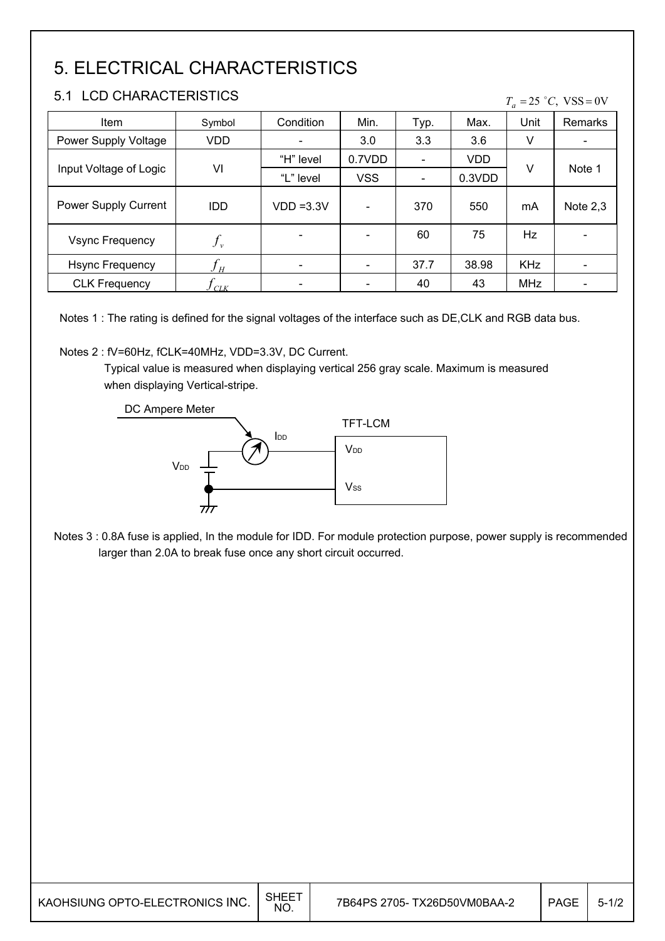# 5. ELECTRICAL CHARACTERISTICS

### 5.1 LCD CHARACTERISTICS

#### $T_a = 25 °C$ , VSS = 0V

| Item                   | Symbol                        | Condition                    | Min.       | Typ.                         | Max.   | Unit       | Remarks                  |
|------------------------|-------------------------------|------------------------------|------------|------------------------------|--------|------------|--------------------------|
| Power Supply Voltage   | <b>VDD</b>                    |                              | 3.0        | 3.3                          | 3.6    | V          | $\blacksquare$           |
|                        |                               | "H" level                    | 0.7VDD     | $\qquad \qquad \blacksquare$ | VDD    |            |                          |
| Input Voltage of Logic | VI                            | "L" level                    | <b>VSS</b> | $\blacksquare$               | 0.3VDD | v          | Note 1                   |
| Power Supply Current   | IDD                           | $VDD = 3.3V$                 |            | 370                          | 550    | mA         | Note $2,3$               |
| <b>Vsync Frequency</b> | $f_{\rm\scriptscriptstyle v}$ |                              |            | 60                           | 75     | Hz         | $\overline{\phantom{0}}$ |
| <b>Hsync Frequency</b> | ${\mathcal{J}}_H$             |                              |            | 37.7                         | 38.98  | <b>KHz</b> |                          |
| <b>CLK Frequency</b>   | $\iota_{\mathit{CLK}}$        | $\qquad \qquad \blacksquare$ |            | 40                           | 43     | <b>MHz</b> | $\overline{\phantom{0}}$ |

Notes 1 : The rating is defined for the signal voltages of the interface such as DE,CLK and RGB data bus.

#### Notes 2 : fV=60Hz, fCLK=40MHz, VDD=3.3V, DC Current.

 Typical value is measured when displaying vertical 256 gray scale. Maximum is measured when displaying Vertical-stripe.

DC Ampere Meter



Notes 3 : 0.8A fuse is applied, In the module for IDD. For module protection purpose, power supply is recommended larger than 2.0A to break fuse once any short circuit occurred.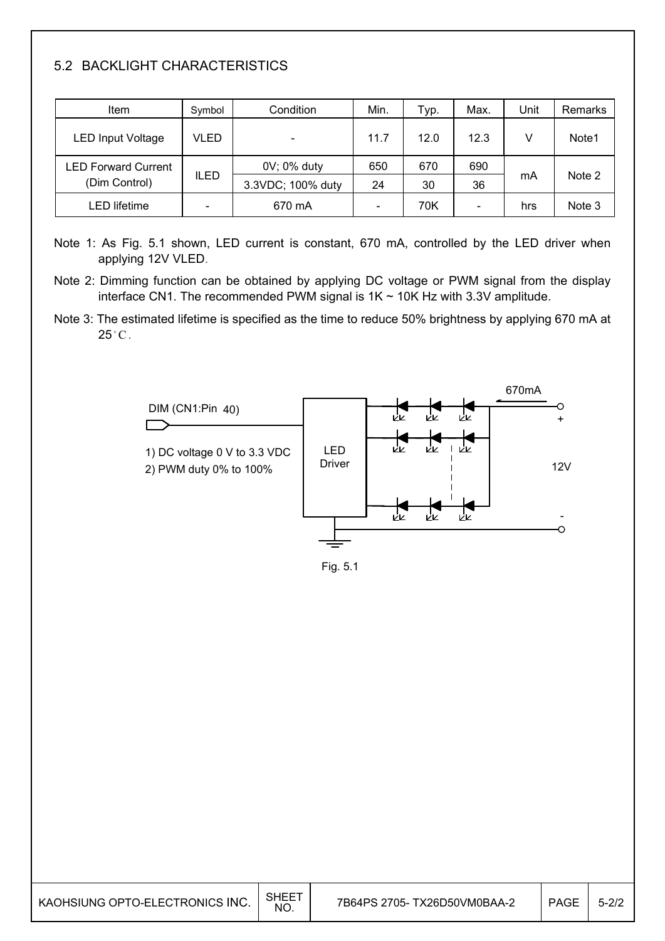## 5.2 BACKLIGHT CHARACTERISTICS

| Item                       | Symbol      | Condition         | Min. | тур. | Max.                     | Unit | Remarks |
|----------------------------|-------------|-------------------|------|------|--------------------------|------|---------|
| <b>LED Input Voltage</b>   | VLED        | -                 | 11.7 | 12.0 | 12.3                     |      | Note1   |
| <b>LED Forward Current</b> |             | 0V; 0% duty       | 650  | 670  | 690                      |      |         |
| (Dim Control)              | <b>ILED</b> | 3.3VDC; 100% duty | 24   | 30   | 36                       | mA   | Note 2  |
| _ED lifetime               |             | 670 mA            |      | 70K  | $\overline{\phantom{0}}$ | hrs  | Note 3  |

- Note 1: As Fig. 5.1 shown, LED current is constant, 670 mA, controlled by the LED driver when applying 12V VLED.
- Note 2: Dimming function can be obtained by applying DC voltage or PWM signal from the display interface CN1. The recommended PWM signal is  $1K \sim 10K$  Hz with 3.3V amplitude.
- Note 3: The estimated lifetime is specified as the time to reduce 50% brightness by applying 670 mA at  $25^{\circ}$ C.



Fig. 5.1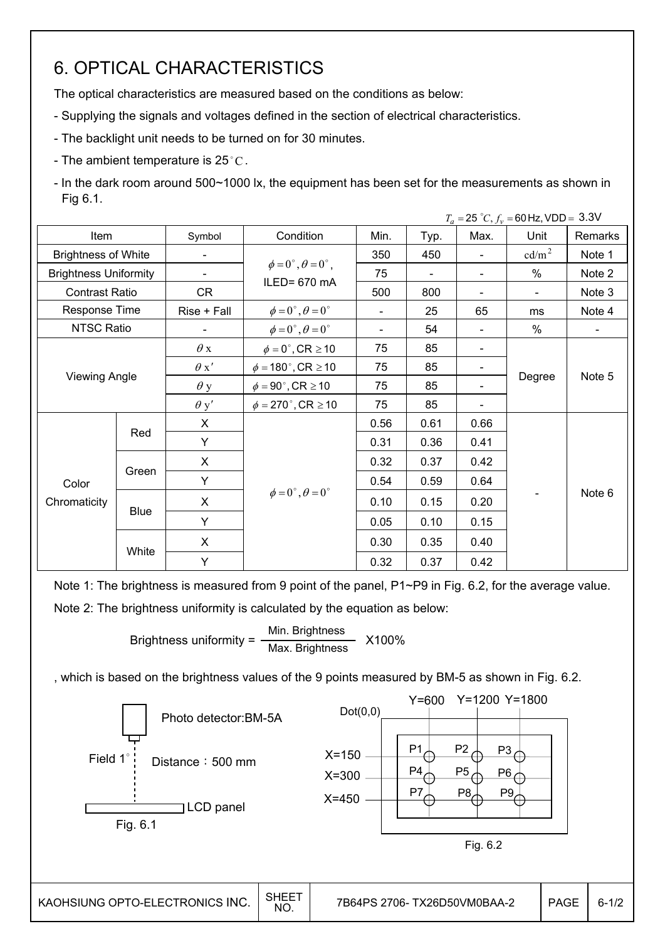# 6. OPTICAL CHARACTERISTICS

The optical characteristics are measured based on the conditions as below:

- Supplying the signals and voltages defined in the section of electrical characteristics.
- The backlight unit needs to be turned on for 30 minutes.
- The ambient temperature is  $25^{\circ}$ C.

- In the dark room around 500~1000 lx, the equipment has been set for the measurements as shown in Fig 6.1.

|                              |             |                          |                                                          |                          |      |                          | $T_a = 25 °C, f_v = 60 Hz, VDD = 3.3 V$ |         |
|------------------------------|-------------|--------------------------|----------------------------------------------------------|--------------------------|------|--------------------------|-----------------------------------------|---------|
| Item                         |             | Symbol                   | Condition                                                | Min.                     | Typ. | Max.                     | Unit                                    | Remarks |
| <b>Brightness of White</b>   |             |                          |                                                          | 350                      | 450  | $\blacksquare$           | cd/m <sup>2</sup>                       | Note 1  |
| <b>Brightness Uniformity</b> |             | $\overline{\phantom{a}}$ | $\phi = 0^{\circ}, \theta = 0^{\circ}$ ,<br>ILED= 670 mA | 75                       |      | $\blacksquare$           | $\%$                                    | Note 2  |
| <b>Contrast Ratio</b>        |             | <b>CR</b>                |                                                          | 500                      | 800  | $\overline{\phantom{a}}$ |                                         | Note 3  |
| Response Time                |             | Rise + Fall              | $\phi = 0^{\circ}, \theta = 0^{\circ}$                   | $\overline{\phantom{0}}$ | 25   | 65                       | ms                                      | Note 4  |
| NTSC Ratio                   |             |                          | $\phi = 0^{\circ}, \theta = 0^{\circ}$                   | $\overline{\phantom{0}}$ | 54   | $\blacksquare$           | $\%$                                    |         |
| <b>Viewing Angle</b>         |             | $\theta$ x               | $\phi = 0^\circ$ , CR $\geq 10$                          | 75                       | 85   |                          |                                         | Note 5  |
|                              |             | $\theta x'$              | $\phi = 180^\circ$ , CR $\geq 10$                        | 75                       | 85   |                          | Degree                                  |         |
|                              |             | $\theta$ y               | $\phi = 90^\circ$ , CR $\geq 10$                         | 75                       | 85   |                          |                                         |         |
|                              |             | $\theta$ y'              | $\phi = 270$ °, CR $\geq 10$                             | 75                       | 85   |                          |                                         |         |
|                              |             | X                        |                                                          | 0.56                     | 0.61 | 0.66                     |                                         |         |
|                              | Red         | Y                        |                                                          | 0.31                     | 0.36 | 0.41                     |                                         |         |
|                              |             | X                        |                                                          | 0.32                     | 0.37 | 0.42                     |                                         |         |
| Color                        | Green       | Y                        |                                                          | 0.54                     | 0.59 | 0.64                     |                                         |         |
| Chromaticity                 |             | $\mathsf{X}$             | $\phi = 0^\circ$ , $\theta = 0^\circ$                    | 0.10                     | 0.15 | 0.20                     |                                         | Note 6  |
|                              | <b>Blue</b> | Y                        |                                                          | 0.05                     | 0.10 | 0.15                     |                                         |         |
|                              |             | X                        |                                                          | 0.30                     | 0.35 | 0.40                     |                                         |         |
|                              | White       | Υ                        |                                                          | 0.32                     | 0.37 | 0.42                     |                                         |         |

Note 1: The brightness is measured from 9 point of the panel, P1~P9 in Fig. 6.2, for the average value. Note 2: The brightness uniformity is calculated by the equation as below:

> Brightness uniformity =  $\frac{\text{Min.}_{\text{Br}}}{\text{Min.}_{\text{B}}}\times 100\%$ Max. Brightness

, which is based on the brightness values of the 9 points measured by BM-5 as shown in Fig. 6.2.

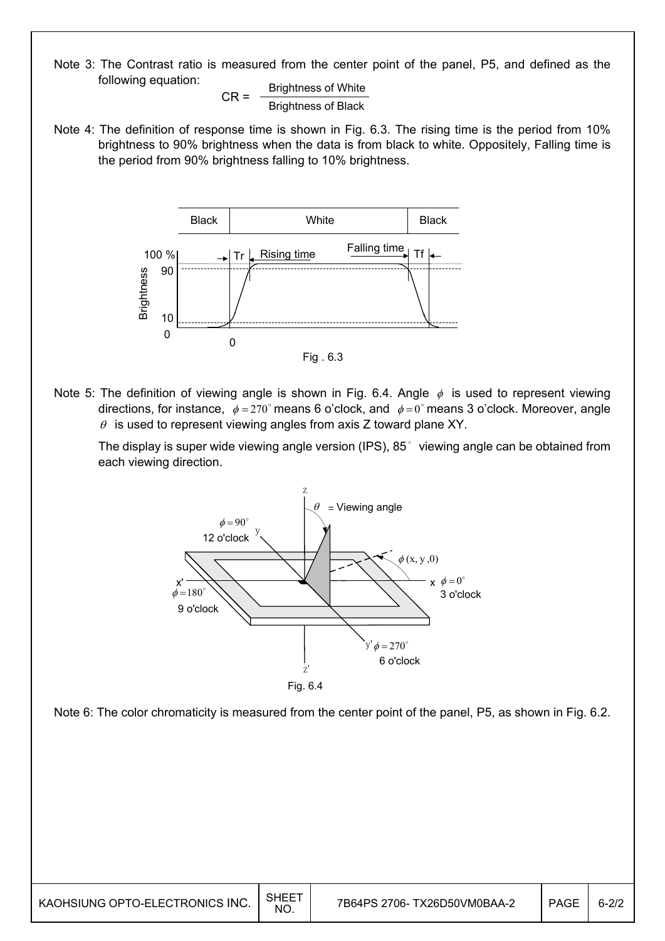Note 3: The Contrast ratio is measured from the center point of the panel, P5, and defined as the following equation:

 $CR =$  Brightness of White Brightness of Black

Note 4: The definition of response time is shown in Fig. 6.3. The rising time is the period from 10% brightness to 90% brightness when the data is from black to white. Oppositely, Falling time is the period from 90% brightness falling to 10% brightness.



Note 5: The definition of viewing angle is shown in Fig. 6.4. Angle  $\phi$  is used to represent viewing directions, for instance,  $\phi = 270^\circ$  means 6 o'clock, and  $\phi = 0^\circ$  means 3 o'clock. Moreover, angle  $\theta$  is used to represent viewing angles from axis Z toward plane XY.

The display is super wide viewing angle version (IPS), 85° viewing angle can be obtained from each viewing direction.



Note 6: The color chromaticity is measured from the center point of the panel, P5, as shown in Fig. 6.2.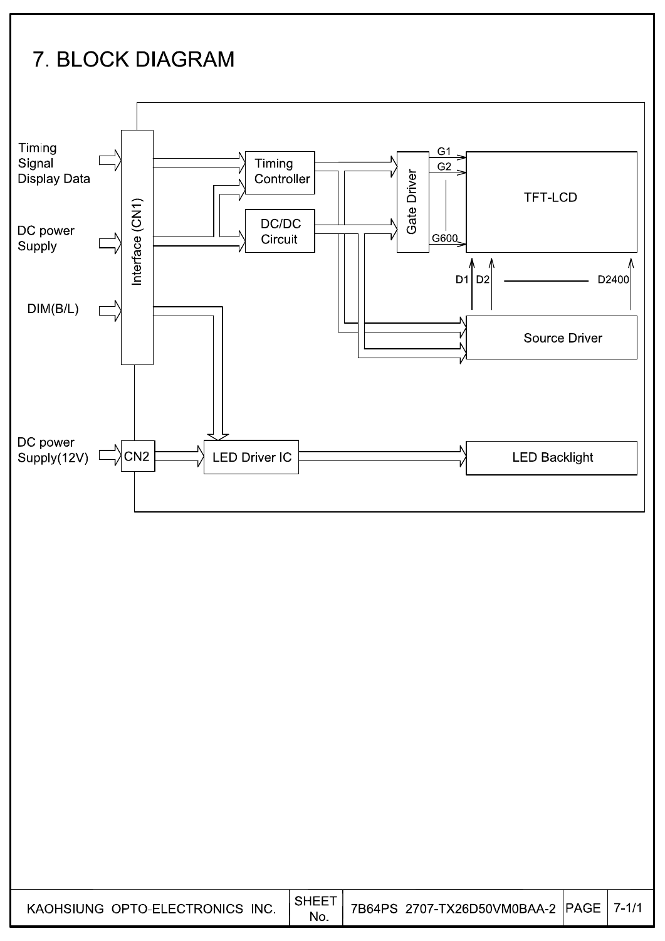# 7. BLOCK DIAGRAM



No.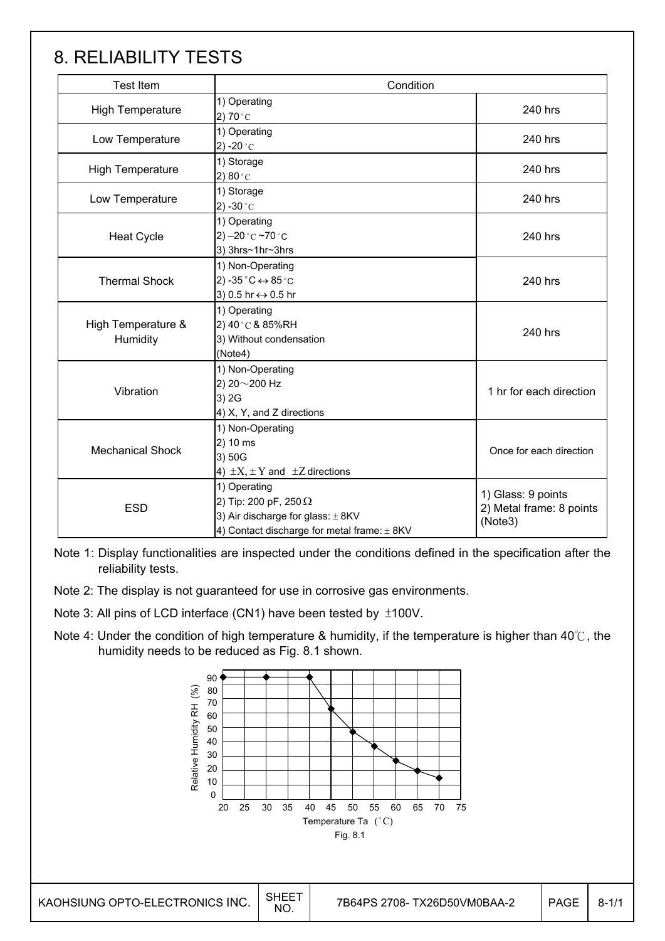# 8. RELIABILITY TESTS

| <b>Test Item</b>               | Condition                                                                                                                            |                         |  |  |
|--------------------------------|--------------------------------------------------------------------------------------------------------------------------------------|-------------------------|--|--|
| <b>High Temperature</b>        | 1) Operating<br>2) 70 $^{\circ}$ C                                                                                                   | 240 hrs                 |  |  |
| Low Temperature                | 1) Operating<br>2) -20 $^{\circ}$ C                                                                                                  | 240 hrs                 |  |  |
| <b>High Temperature</b>        | 1) Storage<br>2) $80^{\circ}$ C                                                                                                      | 240 hrs                 |  |  |
| Low Temperature                | 1) Storage<br>2) -30 $^{\circ}$ C                                                                                                    |                         |  |  |
| <b>Heat Cycle</b>              | 1) Operating<br>2) $-20$ °C $-70$ °C<br>3) 3hrs~1hr~3hrs                                                                             | 240 hrs                 |  |  |
| <b>Thermal Shock</b>           | 1) Non-Operating<br>2) -35 $^{\circ}$ C $\leftrightarrow$ 85 $^{\circ}$ C<br>3) 0.5 hr ↔ 0.5 hr                                      | 240 hrs                 |  |  |
| High Temperature &<br>Humidity | 1) Operating<br>2) 40°C & 85%RH<br>3) Without condensation<br>(Note4)                                                                | 240 hrs                 |  |  |
| Vibration                      | 1) Non-Operating<br>2) 20~200 Hz<br>3) 2G<br>4) X, Y, and Z directions                                                               | 1 hr for each direction |  |  |
| <b>Mechanical Shock</b>        | 1) Non-Operating<br>2) 10 ms<br>3) 50G<br>4) $\pm X$ , $\pm Y$ and $\pm Z$ directions                                                |                         |  |  |
| <b>ESD</b>                     | 1) Operating<br>2) Tip: 200 pF, 250 $\Omega$<br>3) Air discharge for glass: $\pm$ 8KV<br>4) Contact discharge for metal frame: ± 8KV |                         |  |  |

Note 1: Display functionalities are inspected under the conditions defined in the specification after the reliability tests.

- Note 2: The display is not guaranteed for use in corrosive gas environments.
- Note 3: All pins of LCD interface (CN1) have been tested by  $\pm$ 100V.
- Note 4: Under the condition of high temperature & humidity, if the temperature is higher than 40 $\degree$ C, the humidity needs to be reduced as Fig. 8.1 shown.

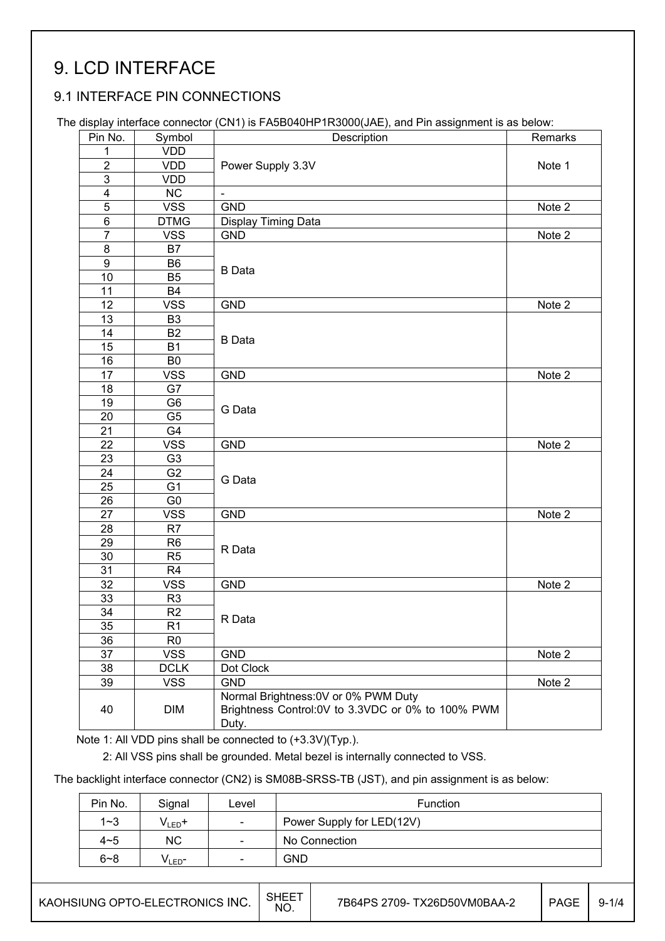# 9. LCD INTERFACE

### 9.1 INTERFACE PIN CONNECTIONS

The display interface connector (CN1) is FA5B040HP1R3000(JAE), and Pin assignment is as below:

| Pin No.         | Symbol          | $\ldots$ $\infty$ . $\infty$ , $\ldots$ $\infty$ . $\ldots$ $\infty$ . $\ldots$ . $\ldots$<br>Description | Remarks                    |
|-----------------|-----------------|-----------------------------------------------------------------------------------------------------------|----------------------------|
| 1.              | <b>VDD</b>      |                                                                                                           |                            |
| $\overline{2}$  | <b>VDD</b>      | Power Supply 3.3V                                                                                         | Note 1                     |
| 3               | <b>VDD</b>      |                                                                                                           |                            |
| $\overline{4}$  | NC              | $\blacksquare$                                                                                            |                            |
| 5               | <b>VSS</b>      | <b>GND</b>                                                                                                | Note 2                     |
| 6               | <b>DTMG</b>     | Display Timing Data                                                                                       |                            |
| $\overline{7}$  | <b>VSS</b>      | <b>GND</b>                                                                                                | Note 2                     |
| 8               | B7              |                                                                                                           |                            |
| 9               | B6              |                                                                                                           |                            |
| 10              | B <sub>5</sub>  | <b>B</b> Data                                                                                             |                            |
| 11              | <b>B4</b>       |                                                                                                           |                            |
| 12              | <b>VSS</b>      | <b>GND</b>                                                                                                | Note 2                     |
| 13              | <b>B3</b>       |                                                                                                           |                            |
| 14              | B2              |                                                                                                           |                            |
| 15              | <b>B1</b>       | <b>B</b> Data                                                                                             |                            |
| 16              | B <sub>0</sub>  |                                                                                                           |                            |
| 17              | <b>VSS</b>      | <b>GND</b>                                                                                                | Note 2                     |
| 18              | G7              |                                                                                                           |                            |
| 19              | G6              |                                                                                                           |                            |
| 20              | G <sub>5</sub>  | G Data                                                                                                    |                            |
| 21              | G4              |                                                                                                           |                            |
| 22              | <b>VSS</b>      | <b>GND</b>                                                                                                | $\overline{\text{Note}}$ 2 |
| 23              | G <sub>3</sub>  |                                                                                                           |                            |
| 24              | G <sub>2</sub>  |                                                                                                           |                            |
| 25              | $\overline{G1}$ | G Data                                                                                                    |                            |
| 26              | G <sub>0</sub>  |                                                                                                           |                            |
| 27              | <b>VSS</b>      | <b>GND</b>                                                                                                | Note 2                     |
| 28              | R <sub>7</sub>  |                                                                                                           |                            |
| 29              | R <sub>6</sub>  | R Data                                                                                                    |                            |
| 30              | R <sub>5</sub>  |                                                                                                           |                            |
| 31              | R <sub>4</sub>  |                                                                                                           |                            |
| 32              | <b>VSS</b>      | <b>GND</b>                                                                                                | Note 2                     |
| 33              | R <sub>3</sub>  |                                                                                                           |                            |
| 34              | R <sub>2</sub>  | R Data                                                                                                    |                            |
| 35 <sub>2</sub> | R <sub>1</sub>  |                                                                                                           |                            |
| 36              | R <sub>0</sub>  |                                                                                                           |                            |
| 37              | <b>VSS</b>      | <b>GND</b>                                                                                                | Note 2                     |
| 38              | <b>DCLK</b>     | Dot Clock                                                                                                 |                            |
| 39              | <b>VSS</b>      | <b>GND</b>                                                                                                | Note 2                     |
| 40              | <b>DIM</b>      | Normal Brightness: 0V or 0% PWM Duty<br>Brightness Control:0V to 3.3VDC or 0% to 100% PWM<br>Duty.        |                            |

Note 1: All VDD pins shall be connected to (+3.3V)(Typ.).

2: All VSS pins shall be grounded. Metal bezel is internally connected to VSS.

The backlight interface connector (CN2) is SM08B-SRSS-TB (JST), and pin assignment is as below:

| Pin No. | Signal            | ∟evel                        | <b>Function</b>           |
|---------|-------------------|------------------------------|---------------------------|
| $1 - 3$ | $V_{LED}$ +       | $\overline{\phantom{0}}$     | Power Supply for LED(12V) |
| $4 - 5$ | ΝC                | $\sim$                       | No Connection             |
| $6 - 8$ | V∟ED <sup>–</sup> | $\qquad \qquad \blacksquare$ | <b>GND</b>                |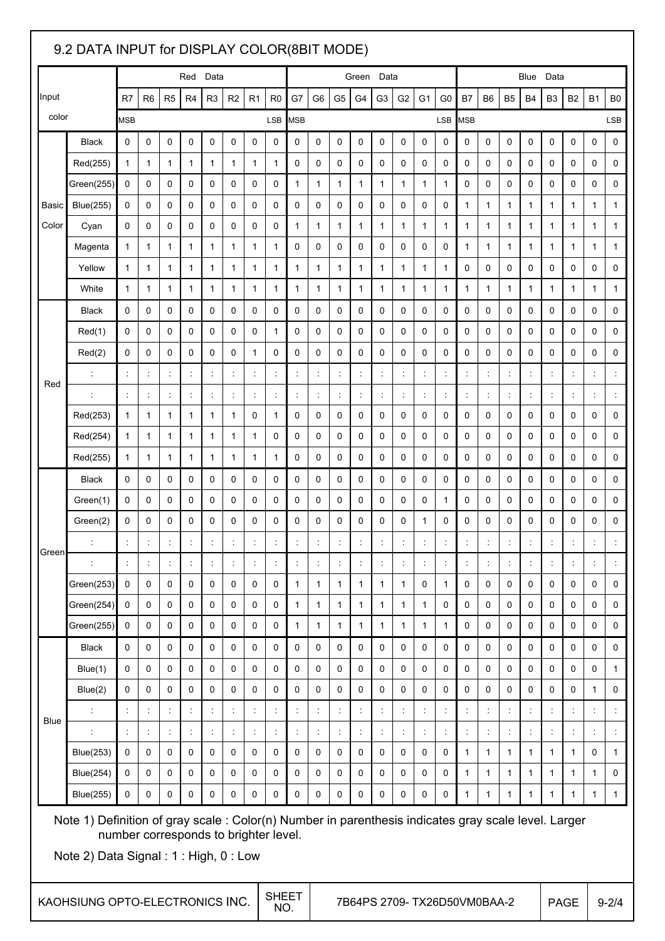## 9.2 DATA INPUT for DISPLAY COLOR(8BIT MODE) Input color Red Data **Blue Data** Green Data **Blue Data** Blue Data R7 | R6 | R5 | R4 | R3 | R2 | R1 | R0 | G7 | G6 | G5 | G4 | G3 | G2 | G1 | G0 | B7 | B6 | B5 | B4 | B3 | B2 | B1 | B0 MSB LSB MSB LSB MSB LSB Basic Color Black 0 0 0 0 0 0 0 0 0 0 0 0 0 0 0 0 0 0 0 0 0 0 0 0 Red(255) || 1 || 1 || 1 || 1 || 1 || 1 || 0 || 0 || 0 || 0 || 0 || 0 || 0 || 0 || 0 || 0 || 0 || 0 || 0 || 0 Green(255) 0 0 0 0 0 0 0 0 1 1 1 1 1 1 1 1 0 0 0 0 0 0 0 0 Blue(255) 0 0 0 0 0 0 0 0 0 0 0 0 0 0 0 0 1 1 1 1 1 1 1 1 Cyan 0 0 0 0 0 0 0 0 1 1 1 1 1 1 1 1 1 1 1 1 1 1 1 1 Magenta 1 1 1 1 1 1 1 1 0 0 0 0 0 0 0 0 1 1 1 1 1 1 1 1 Yellow 1 1 1 1 1 1 1 1 1 1 1 1 1 1 1 1 0 0 0 0 0 0 0 0 White 1 1 1 1 1 1 1 1 1 1 1 1 1 1 1 1 1 1 1 1 1 1 1 1 Red Black 0 0 0 0 0 0 0 0 0 0 0 0 0 0 0 0 0 0 0 0 0 0 0 0 Red(1) 0 0 0 0 0 0 0 1 0 0 0 0 0 0 0 0 0 0 0 0 0 0 0 0 Red(2) 0 0 0 0 0 0 1 0 0 0 0 0 0 0 0 0 0 0 0 0 0 0 0 0 : : : : : : : : : : : : : : : : : : : : : : : : : : : : : : : : : : : : : : : : : : : : : : : : : : Red(253) || 1 || 1 || 1 || 1 || 0 || 1 || 0 || 0 || 0 || 0 || 0 || 0 || 0 || 0 || 0 || 0 || 0 || 0 || 0 || 0 | Red(254) 1 1 1 1 1 1 1 0 0 0 0 0 0 0 0 0 0 0 0 0 0 0 0 0 Red(255) || 1 || 1 || 1 || 1 || 1 || 1 || 0 || 0 || 0 || 0 || 0 || 0 || 0 || 0 || 0 || 0 || 0 || 0 || 0 || 0 | Green Black 0 0 0 0 0 0 0 0 0 0 0 0 0 0 0 0 0 0 0 0 0 0 0 0 Green(1) 0 0 0 0 0 0 0 0 0 0 0 0 0 0 0 1 0 0 0 0 0 0 0 0 Green(2) 0 0 0 0 0 0 0 0 0 0 0 0 0 0 1 0 0 0 0 0 0 0 0 0 : : : : : : : : : : : : : : : : : : : : : : : : : : : : : : : : : : : : : : : : : : : : : : : : : : Green(253) 0 0 0 0 0 0 0 0 1 1 1 1 1 1 0 1 0 0 0 0 0 0 0 0 Green(254) 0 0 0 0 0 0 0 0 1 1 1 1 1 1 1 0 0 0 0 0 0 0 0 0 Green(255) 0 0 0 0 0 0 0 0 1 1 1 1 1 1 1 1 0 0 0 0 0 0 0 0 Blue Black 0 0 0 0 0 0 0 0 0 0 0 0 0 0 0 0 0 0 0 0 0 0 0 0 Blue(1) 0 0 0 0 0 0 0 0 0 0 0 0 0 0 0 0 0 0 0 0 0 0 0 1 Blue(2) 0 0 0 0 0 0 0 0 0 0 0 0 0 0 0 0 0 0 0 0 0 0 1 0 : : : : : : : : : : : : : : : : : : : : : : : : : : : : : : : : : : : : : : : : : : : : : : : : : : Blue(253) 0 0 0 0 0 0 0 0 0 0 0 0 0 0 0 0 1 1 1 1 1 1 0 1 Blue(254) 0 0 0 0 0 0 0 0 0 0 0 0 0 0 0 0 1 1 1 1 1 1 1 0 Blue(255) 0 0 0 0 0 0 0 0 0 0 0 0 0 0 0 0 1 1 1 1 1 1 1 1 Note 1) Definition of gray scale : Color(n) Number in parenthesis indicates gray scale level. Larger number corresponds to brighter level. Note 2) Data Signal : 1 : High, 0 : Low  $\overline{a}$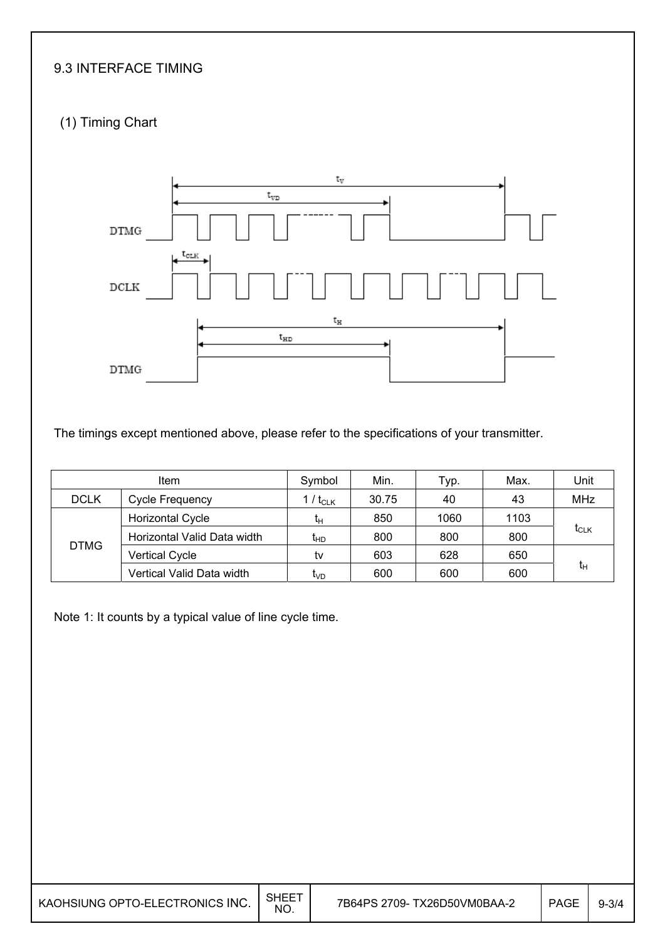## 9.3 INTERFACE TIMING

## (1) Timing Chart



The timings except mentioned above, please refer to the specifications of your transmitter.

| ltem        |                             | Symbol          | Min.  | Typ. | Max. | Unit       |  |
|-------------|-----------------------------|-----------------|-------|------|------|------------|--|
| <b>DCLK</b> | <b>Cycle Frequency</b>      | 1 / $t_{CLK}$   | 30.75 | 40   | 43   | <b>MHz</b> |  |
| <b>DTMG</b> | Horizontal Cycle            | tμ              | 850   | 1060 | 1103 | $t_{CLK}$  |  |
|             | Horizontal Valid Data width | t <sub>НD</sub> | 800   | 800  | 800  |            |  |
|             | <b>Vertical Cycle</b>       | tv              | 603   | 628  | 650  |            |  |
|             | Vertical Valid Data width   | t <sub>∨D</sub> | 600   | 600  | 600  | $t_{H}$    |  |

Note 1: It counts by a typical value of line cycle time.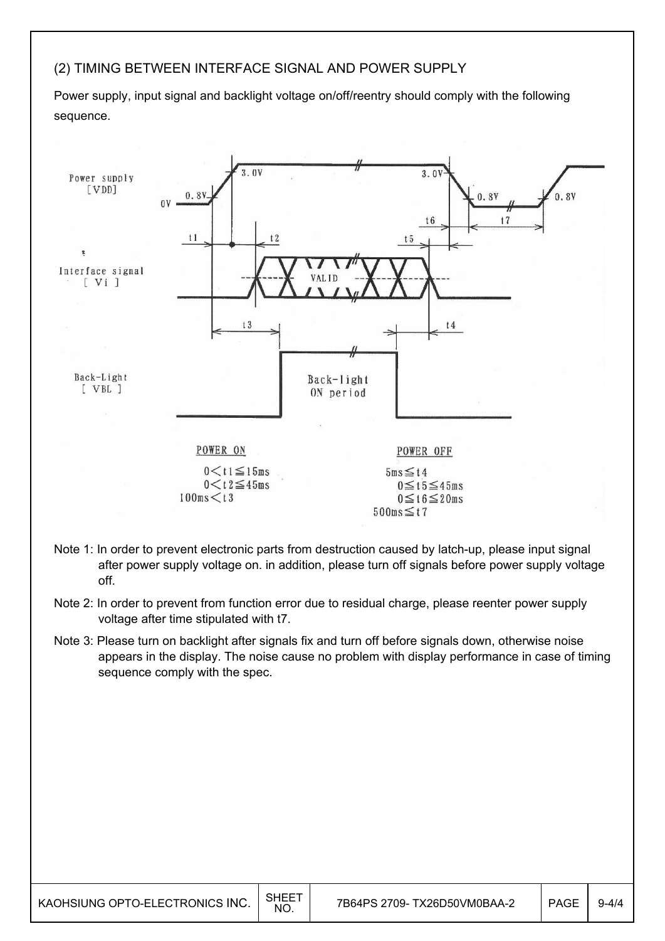#### (2) TIMING BETWEEN INTERFACE SIGNAL AND POWER SUPPLY

Power supply, input signal and backlight voltage on/off/reentry should comply with the following sequence.



- Note 1: In order to prevent electronic parts from destruction caused by latch-up, please input signal after power supply voltage on. in addition, please turn off signals before power supply voltage off.
- Note 2: In order to prevent from function error due to residual charge, please reenter power supply voltage after time stipulated with t7.
- Note 3: Please turn on backlight after signals fix and turn off before signals down, otherwise noise appears in the display. The noise cause no problem with display performance in case of timing sequence comply with the spec.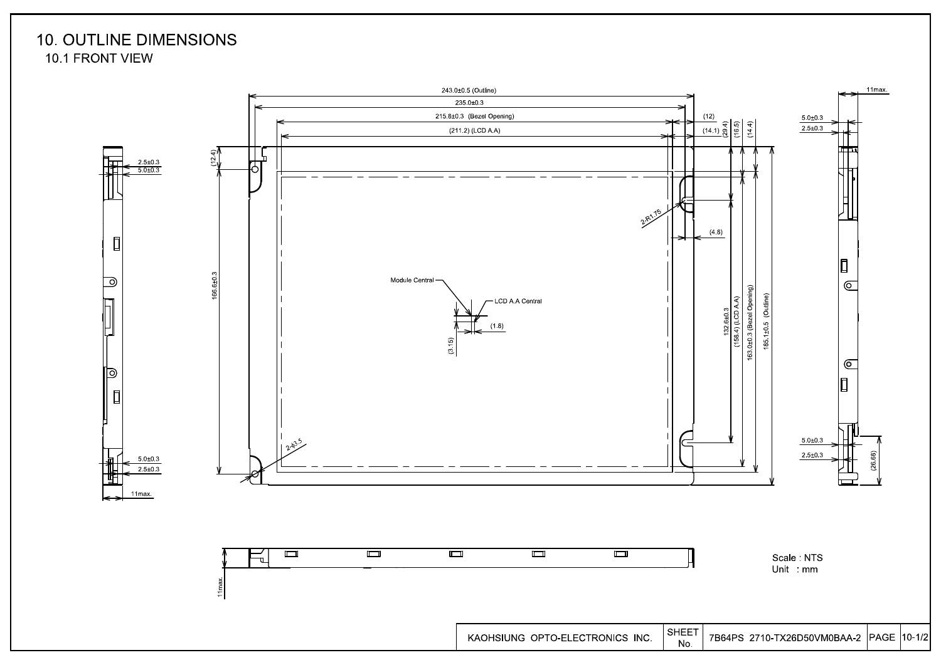## **10. OUTLINE DIMENSIONS** 10.1 FRONT VIEW

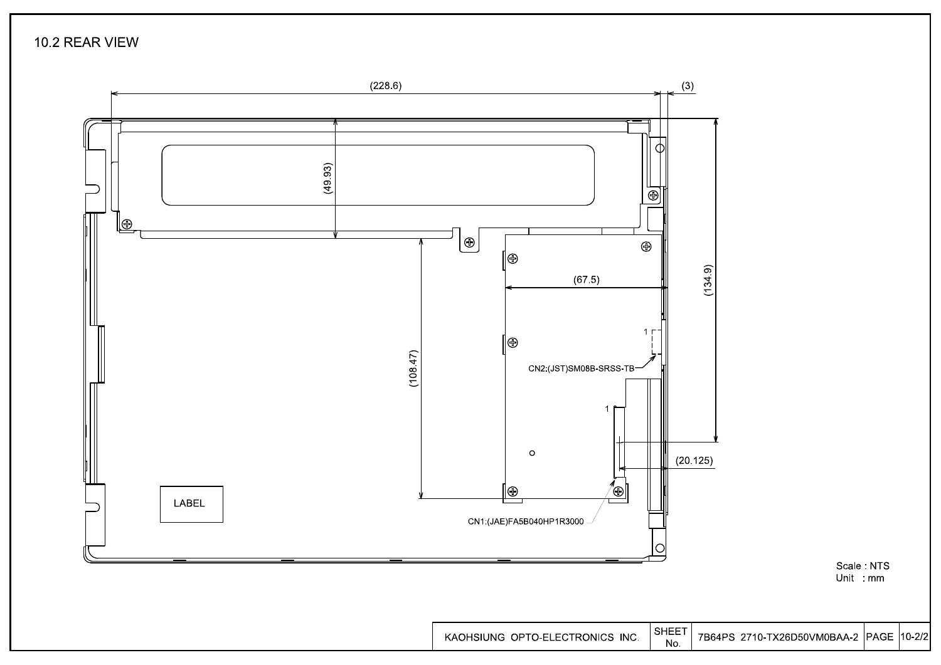10.2 REAR VIEW



7B64PS 2710-TX26D50VM0BAA-2 PAGE 10-2/2

Scale: NTS Unit : mm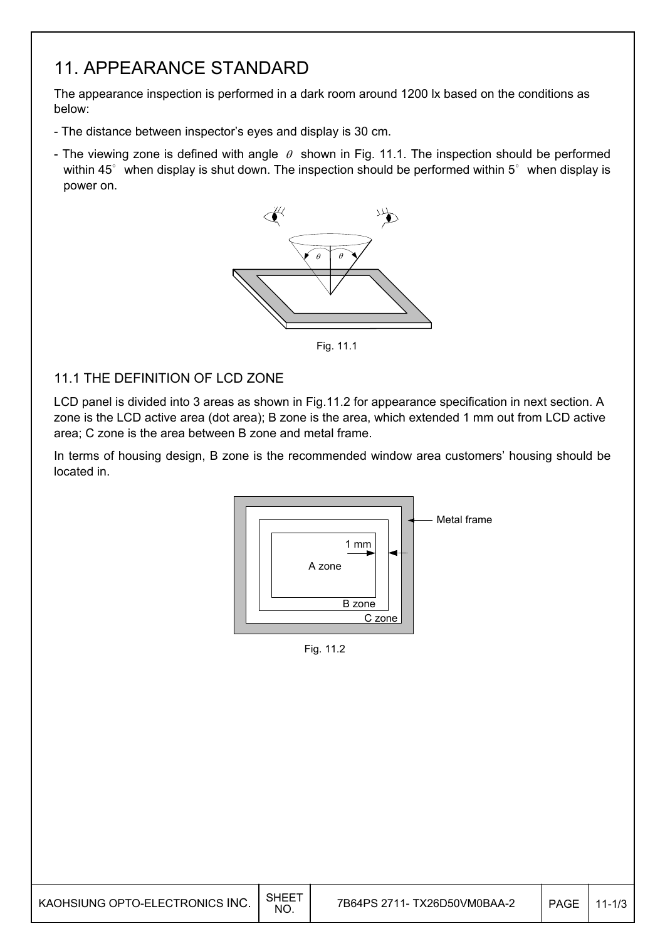## 11. APPEARANCE STANDARD

The appearance inspection is performed in a dark room around 1200 lx based on the conditions as below:

- The distance between inspector's eyes and display is 30 cm.
- The viewing zone is defined with angle  $\theta$  shown in Fig. 11.1. The inspection should be performed within 45 $^{\circ}$  when display is shut down. The inspection should be performed within 5 $^{\circ}$  when display is power on.



Fig. 11.1

#### 11.1 THE DEFINITION OF LCD ZONE

LCD panel is divided into 3 areas as shown in Fig.11.2 for appearance specification in next section. A zone is the LCD active area (dot area); B zone is the area, which extended 1 mm out from LCD active area; C zone is the area between B zone and metal frame.

In terms of housing design, B zone is the recommended window area customers' housing should be located in.



Fig. 11.2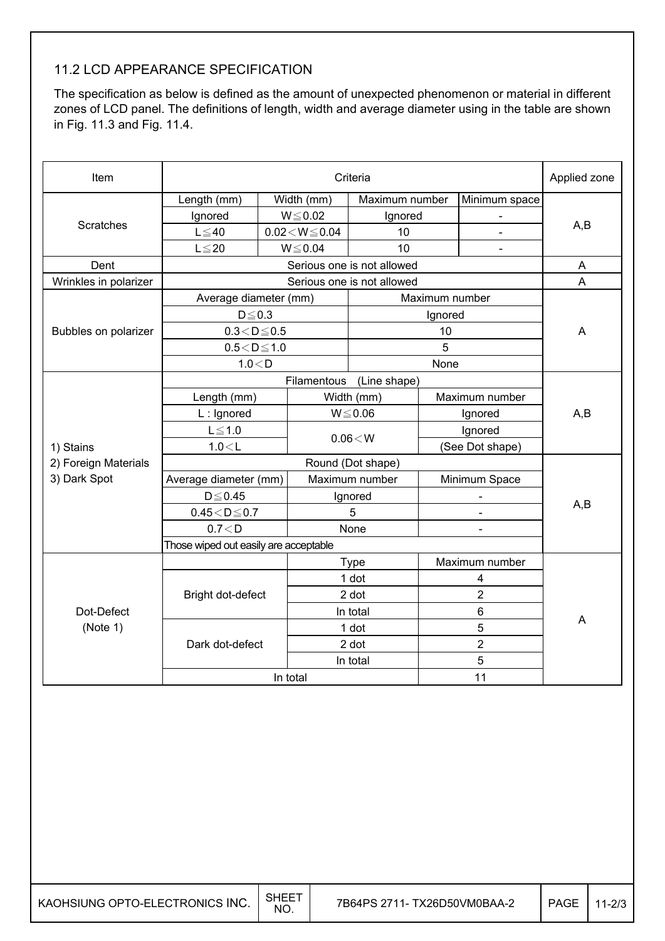## 11.2 LCD APPEARANCE SPECIFICATION

The specification as below is defined as the amount of unexpected phenomenon or material in different zones of LCD panel. The definitions of length, width and average diameter using in the table are shown in Fig. 11.3 and Fig. 11.4.

| Item                   | Criteria                              |                             |                              |                            |                                                 |                              | Applied zone |  |
|------------------------|---------------------------------------|-----------------------------|------------------------------|----------------------------|-------------------------------------------------|------------------------------|--------------|--|
|                        | Length (mm)                           |                             | Width (mm)<br>Maximum number |                            |                                                 | Minimum space                |              |  |
|                        | Ignored                               |                             | $W \le 0.02$                 | Ignored                    |                                                 |                              |              |  |
| <b>Scratches</b>       | $L \leq 40$                           | $0.02\!<\!W\!\leq\!0.04$    |                              | 10                         |                                                 |                              | A,B          |  |
|                        | $L \leq 20$                           | $W \le 0.04$                |                              | 10                         |                                                 | $\qquad \qquad \blacksquare$ |              |  |
| Dent                   |                                       |                             |                              | Serious one is not allowed |                                                 |                              | A            |  |
| Wrinkles in polarizer  |                                       |                             |                              | Serious one is not allowed |                                                 |                              | A            |  |
|                        | Average diameter (mm)                 |                             |                              | Maximum number             |                                                 |                              |              |  |
|                        | $D \le 0.3$                           |                             |                              | Ignored                    |                                                 |                              |              |  |
| Bubbles on polarizer   | $0.3 < D \le 0.5$                     |                             |                              |                            | 10                                              |                              | A            |  |
|                        | $0.5 < D \le 1.0$                     |                             |                              | 5                          |                                                 |                              |              |  |
|                        | 1.0 < D                               |                             |                              | None                       |                                                 |                              |              |  |
|                        |                                       | Filamentous<br>(Line shape) |                              |                            |                                                 |                              |              |  |
|                        | Length (mm)                           |                             |                              | Width (mm)                 |                                                 | Maximum number               |              |  |
|                        | L: Ignored                            |                             | $W \le 0.06$                 |                            | Ignored                                         |                              | A,B          |  |
|                        | $L \leq 1.0$<br>1.0 < L               |                             | $0.06\!<\!W$                 |                            | Ignored                                         |                              |              |  |
| 1) Stains              |                                       |                             |                              |                            | (See Dot shape)                                 |                              |              |  |
| 2) Foreign Materials   | Round (Dot shape)                     |                             |                              |                            |                                                 |                              |              |  |
| 3) Dark Spot           | Average diameter (mm)                 |                             | Maximum number               |                            | Minimum Space                                   |                              | A,B          |  |
|                        | $D \leq 0.45$                         |                             | Ignored                      |                            | $\qquad \qquad \blacksquare$                    |                              |              |  |
|                        | $0.45\!<\!D\!\leq\!0.7$               |                             | 5                            |                            |                                                 |                              |              |  |
|                        | 0.7 < D                               |                             | None<br>÷                    |                            |                                                 |                              |              |  |
|                        | Those wiped out easily are acceptable |                             |                              |                            |                                                 |                              |              |  |
|                        |                                       |                             |                              | <b>Type</b>                |                                                 | Maximum number               |              |  |
|                        | Bright dot-defect                     |                             |                              | 1 dot                      |                                                 | 4                            |              |  |
|                        |                                       |                             | 2 dot                        |                            | $\overline{2}$<br>6<br>5<br>$\overline{2}$<br>5 |                              |              |  |
| Dot-Defect<br>(Note 1) |                                       |                             | In total                     |                            |                                                 |                              |              |  |
|                        | Dark dot-defect                       |                             | 1 dot                        |                            |                                                 |                              | A            |  |
|                        |                                       |                             | 2 dot                        |                            |                                                 |                              |              |  |
|                        |                                       |                             | In total                     |                            |                                                 |                              |              |  |
|                        | In total                              |                             |                              |                            |                                                 | 11                           |              |  |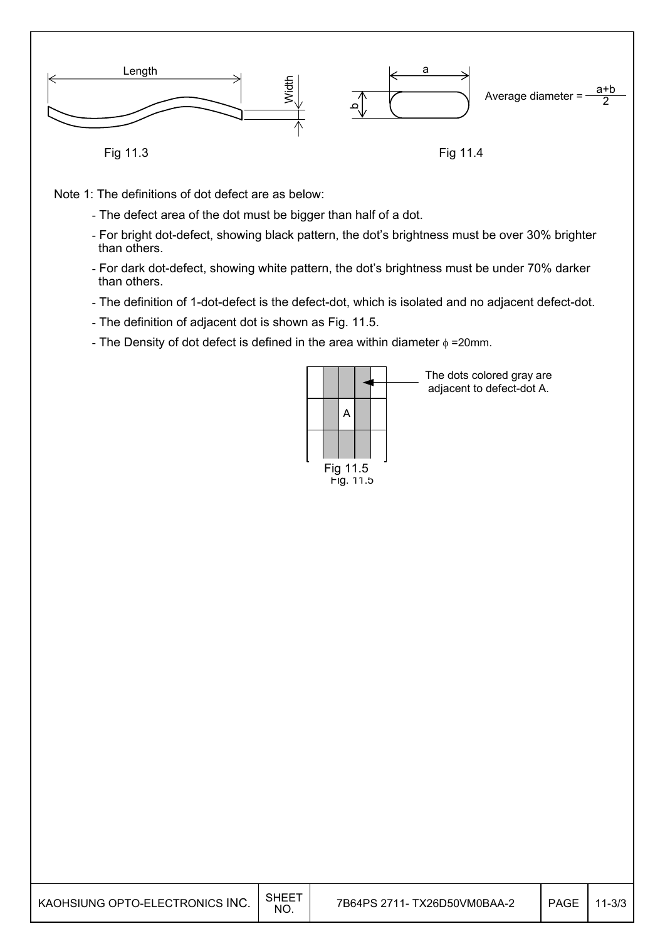

Note 1: The definitions of dot defect are as below:

- The defect area of the dot must be bigger than half of a dot.
- For bright dot-defect, showing black pattern, the dot's brightness must be over 30% brighter than others.
- For dark dot-defect, showing white pattern, the dot's brightness must be under 70% darker than others.
- The definition of 1-dot-defect is the defect-dot, which is isolated and no adjacent defect-dot.
- The definition of adjacent dot is shown as Fig. 11.5.
- The Density of dot defect is defined in the area within diameter  $\phi$  =20mm.



The dots colored gray are adjacent to defect-dot A.

| KAOHSIUNG OPTO-ELECTRONICS INC. | SHEET<br><b>NO</b> | 7B64PS 2711- TX26D50VM0BAA-2 | PAGE | $11 - 3/3$ |
|---------------------------------|--------------------|------------------------------|------|------------|
|---------------------------------|--------------------|------------------------------|------|------------|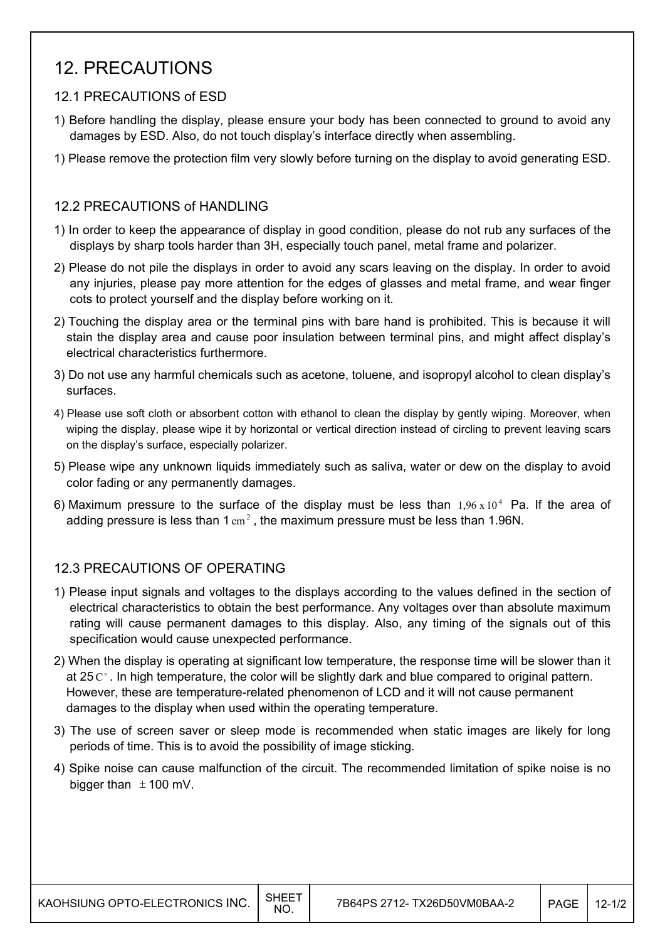## 12. PRECAUTIONS

#### 12.1 PRECAUTIONS of ESD

- 1) Before handling the display, please ensure your body has been connected to ground to avoid any damages by ESD. Also, do not touch display's interface directly when assembling.
- 1) Please remove the protection film very slowly before turning on the display to avoid generating ESD.

#### 12.2 PRECAUTIONS of HANDLING

- 1) In order to keep the appearance of display in good condition, please do not rub any surfaces of the displays by sharp tools harder than 3H, especially touch panel, metal frame and polarizer.
- 2) Please do not pile the displays in order to avoid any scars leaving on the display. In order to avoid any injuries, please pay more attention for the edges of glasses and metal frame, and wear finger cots to protect yourself and the display before working on it.
- 2) Touching the display area or the terminal pins with bare hand is prohibited. This is because it will stain the display area and cause poor insulation between terminal pins, and might affect display's electrical characteristics furthermore.
- 3) Do not use any harmful chemicals such as acetone, toluene, and isopropyl alcohol to clean display's surfaces.
- 4) Please use soft cloth or absorbent cotton with ethanol to clean the display by gently wiping. Moreover, when wiping the display, please wipe it by horizontal or vertical direction instead of circling to prevent leaving scars on the display's surface, especially polarizer.
- 5) Please wipe any unknown liquids immediately such as saliva, water or dew on the display to avoid color fading or any permanently damages.
- 6) Maximum pressure to the surface of the display must be less than  $1.96 \times 10^4$  Pa. If the area of adding pressure is less than  $1 \text{ cm}^2$ , the maximum pressure must be less than 1.96N.

#### 12.3 PRECAUTIONS OF OPERATING

- 1) Please input signals and voltages to the displays according to the values defined in the section of electrical characteristics to obtain the best performance. Any voltages over than absolute maximum rating will cause permanent damages to this display. Also, any timing of the signals out of this specification would cause unexpected performance.
- 2) When the display is operating at significant low temperature, the response time will be slower than it at 25  $\mathrm{C}^{\circ}$ . In high temperature, the color will be slightly dark and blue compared to original pattern. However, these are temperature-related phenomenon of LCD and it will not cause permanent damages to the display when used within the operating temperature.
- 3) The use of screen saver or sleep mode is recommended when static images are likely for long periods of time. This is to avoid the possibility of image sticking.
- 4) Spike noise can cause malfunction of the circuit. The recommended limitation of spike noise is no bigger than  $\pm$  100 mV.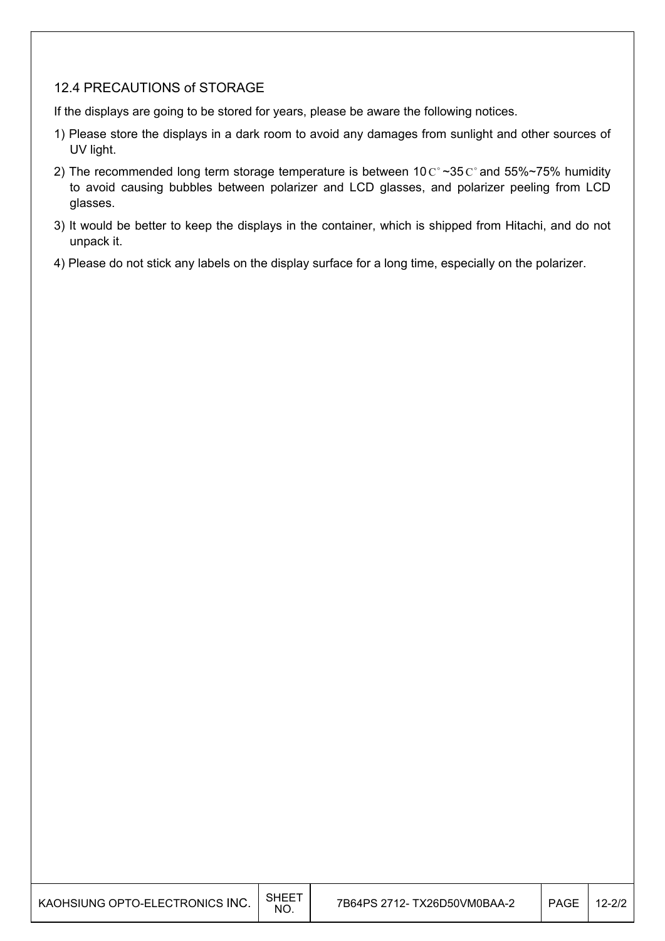#### 12.4 PRECAUTIONS of STORAGE

If the displays are going to be stored for years, please be aware the following notices.

- 1) Please store the displays in a dark room to avoid any damages from sunlight and other sources of UV light.
- 2) The recommended long term storage temperature is between 10  $\text{C}^{\circ}$  ~35  $\text{C}^{\circ}$  and 55%~75% humidity to avoid causing bubbles between polarizer and LCD glasses, and polarizer peeling from LCD glasses.
- 3) It would be better to keep the displays in the container, which is shipped from Hitachi, and do not unpack it.
- 4) Please do not stick any labels on the display surface for a long time, especially on the polarizer.